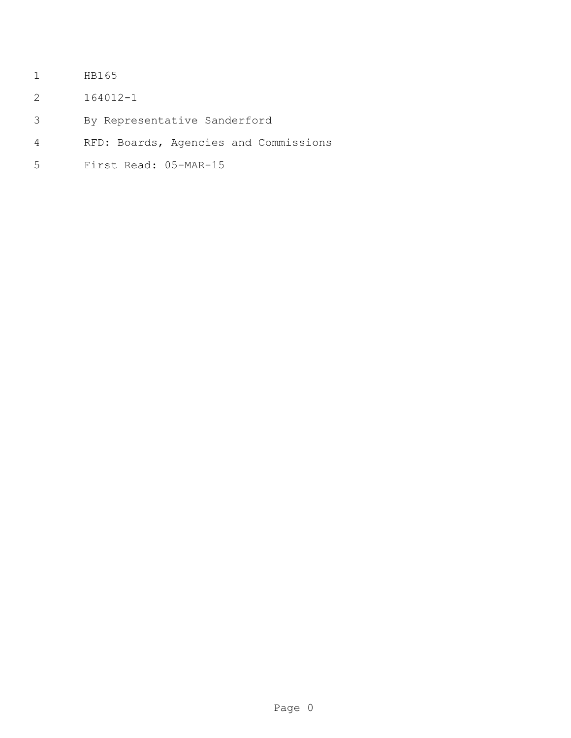- HB165
- 164012-1
- By Representative Sanderford
- RFD: Boards, Agencies and Commissions
- First Read: 05-MAR-15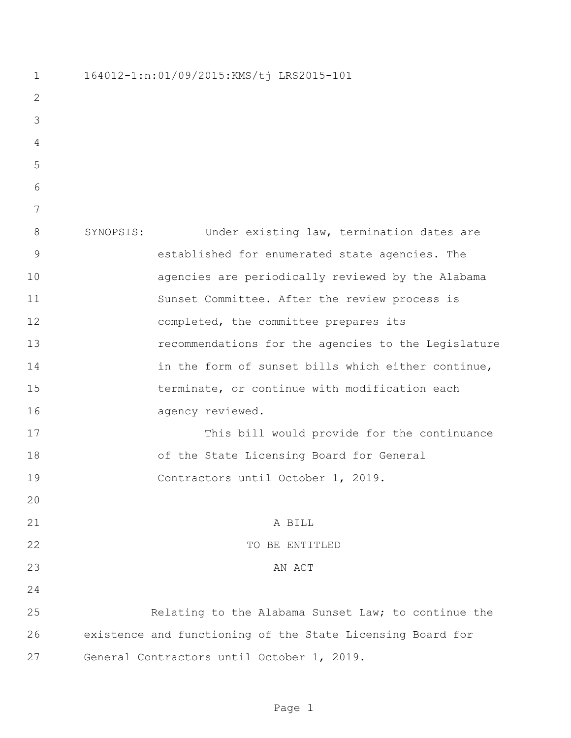164012-1:n:01/09/2015:KMS/tj LRS2015-101 SYNOPSIS: Under existing law, termination dates are established for enumerated state agencies. The agencies are periodically reviewed by the Alabama Sunset Committee. After the review process is completed, the committee prepares its recommendations for the agencies to the Legislature 14 in the form of sunset bills which either continue, terminate, or continue with modification each 16 agency reviewed. This bill would provide for the continuance of the State Licensing Board for General Contractors until October 1, 2019. A BILL 22 TO BE ENTITLED AN ACT Relating to the Alabama Sunset Law; to continue the existence and functioning of the State Licensing Board for General Contractors until October 1, 2019.